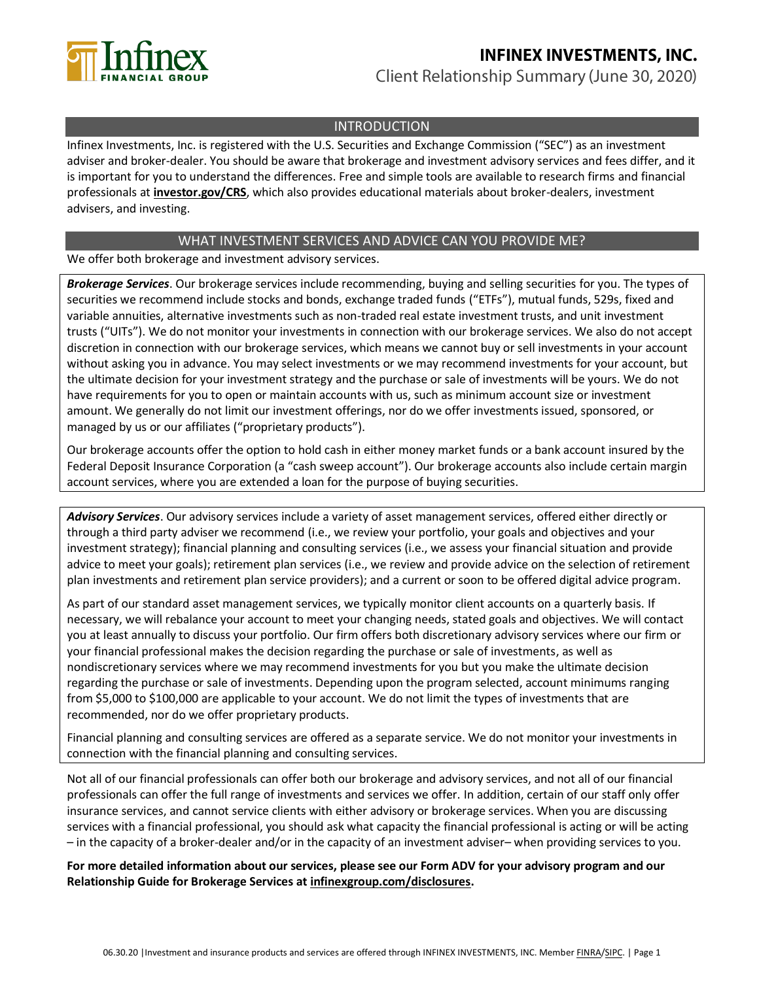

# **INFINEX INVESTMENTS, INC.** Client Relationship Summary (June 30, 2020)

### INTRODUCTION

Infinex Investments, Inc. is registered with the U.S. Securities and Exchange Commission ("SEC") as an investment adviser and broker-dealer. You should be aware that brokerage and investment advisory services and fees differ, and it is important for you to understand the differences. Free and simple tools are available to research firms and financial professionals at **[investor.gov/CRS](https://www.investor.gov/CRS)**, which also provides educational materials about broker-dealers, investment advisers, and investing.

### WHAT INVESTMENT SERVICES AND ADVICE CAN YOU PROVIDE ME?

### We offer both brokerage and investment advisory services.

*Brokerage Services*. Our brokerage services include recommending, buying and selling securities for you. The types of securities we recommend include stocks and bonds, exchange traded funds ("ETFs"), mutual funds, 529s, fixed and variable annuities, alternative investments such as non-traded real estate investment trusts, and unit investment trusts ("UITs"). We do not monitor your investments in connection with our brokerage services. We also do not accept discretion in connection with our brokerage services, which means we cannot buy or sell investments in your account without asking you in advance. You may select investments or we may recommend investments for your account, but the ultimate decision for your investment strategy and the purchase or sale of investments will be yours. We do not have requirements for you to open or maintain accounts with us, such as minimum account size or investment amount. We generally do not limit our investment offerings, nor do we offer investments issued, sponsored, or managed by us or our affiliates ("proprietary products").

Our brokerage accounts offer the option to hold cash in either money market funds or a bank account insured by the Federal Deposit Insurance Corporation (a "cash sweep account"). Our brokerage accounts also include certain margin account services, where you are extended a loan for the purpose of buying securities.

*Advisory Services*. Our advisory services include a variety of asset management services, offered either directly or through a third party adviser we recommend (i.e., we review your portfolio, your goals and objectives and your investment strategy); financial planning and consulting services (i.e., we assess your financial situation and provide advice to meet your goals); retirement plan services (i.e., we review and provide advice on the selection of retirement plan investments and retirement plan service providers); and a current or soon to be offered digital advice program.

As part of our standard asset management services, we typically monitor client accounts on a quarterly basis. If necessary, we will rebalance your account to meet your changing needs, stated goals and objectives. We will contact you at least annually to discuss your portfolio. Our firm offers both discretionary advisory services where our firm or your financial professional makes the decision regarding the purchase or sale of investments, as well as nondiscretionary services where we may recommend investments for you but you make the ultimate decision regarding the purchase or sale of investments. Depending upon the program selected, account minimums ranging from \$5,000 to \$100,000 are applicable to your account. We do not limit the types of investments that are recommended, nor do we offer proprietary products.

Financial planning and consulting services are offered as a separate service. We do not monitor your investments in connection with the financial planning and consulting services.

Not all of our financial professionals can offer both our brokerage and advisory services, and not all of our financial professionals can offer the full range of investments and services we offer. In addition, certain of our staff only offer insurance services, and cannot service clients with either advisory or brokerage services. When you are discussing services with a financial professional, you should ask what capacity the financial professional is acting or will be acting – in the capacity of a broker-dealer and/or in the capacity of an investment adviser– when providing services to you.

**For more detailed information about our services, please see our Form ADV for your advisory program and our Relationship Guide for Brokerage Services at [infinexgroup.com/disclosures.](https://www.infinexgroup.com/disclosures)**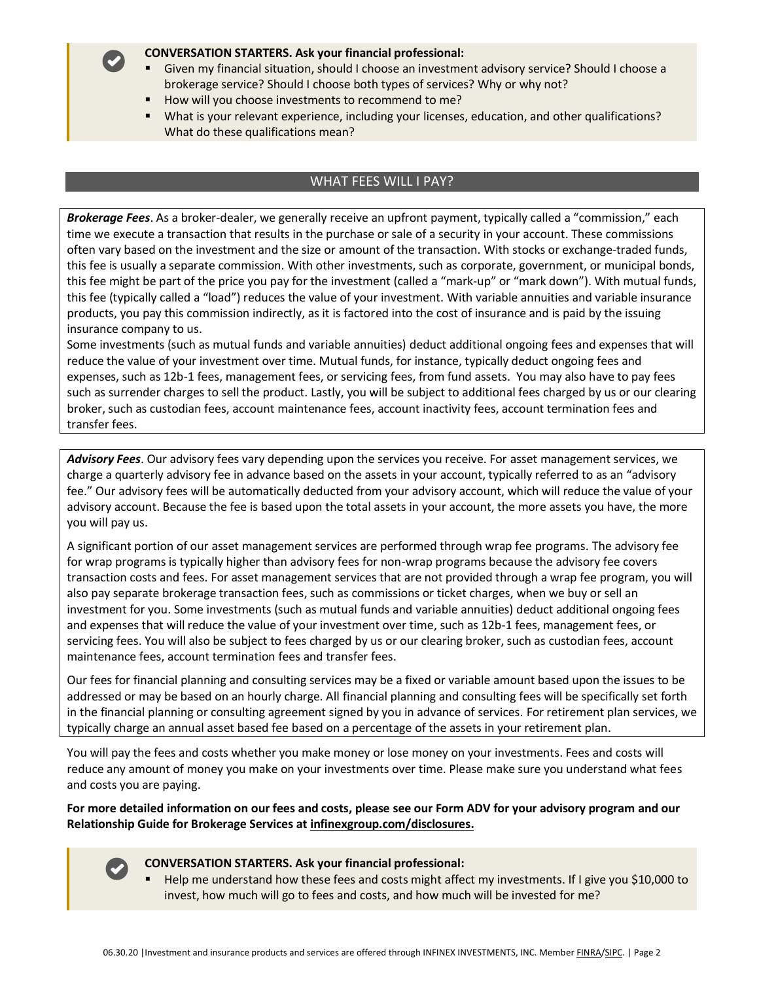#### **CONVERSATION STARTERS. Ask your financial professional:**

- Given my financial situation, should I choose an investment advisory service? Should I choose a brokerage service? Should I choose both types of services? Why or why not?
- How will you choose investments to recommend to me?
- What is your relevant experience, including your licenses, education, and other qualifications? What do these qualifications mean?

### WHAT FEES WILL I PAY?

*Brokerage Fees*. As a broker-dealer, we generally receive an upfront payment, typically called a "commission," each time we execute a transaction that results in the purchase or sale of a security in your account. These commissions often vary based on the investment and the size or amount of the transaction. With stocks or exchange-traded funds, this fee is usually a separate commission. With other investments, such as corporate, government, or municipal bonds, this fee might be part of the price you pay for the investment (called a "mark-up" or "mark down"). With mutual funds, this fee (typically called a "load") reduces the value of your investment. With variable annuities and variable insurance products, you pay this commission indirectly, as it is factored into the cost of insurance and is paid by the issuing insurance company to us.

Some investments (such as mutual funds and variable annuities) deduct additional ongoing fees and expenses that will reduce the value of your investment over time. Mutual funds, for instance, typically deduct ongoing fees and expenses, such as 12b-1 fees, management fees, or servicing fees, from fund assets. You may also have to pay fees such as surrender charges to sell the product. Lastly, you will be subject to additional fees charged by us or our clearing broker, such as custodian fees, account maintenance fees, account inactivity fees, account termination fees and transfer fees.

*Advisory Fees*. Our advisory fees vary depending upon the services you receive. For asset management services, we charge a quarterly advisory fee in advance based on the assets in your account, typically referred to as an "advisory fee." Our advisory fees will be automatically deducted from your advisory account, which will reduce the value of your advisory account. Because the fee is based upon the total assets in your account, the more assets you have, the more you will pay us.

A significant portion of our asset management services are performed through wrap fee programs. The advisory fee for wrap programs is typically higher than advisory fees for non-wrap programs because the advisory fee covers transaction costs and fees. For asset management services that are not provided through a wrap fee program, you will also pay separate brokerage transaction fees, such as commissions or ticket charges, when we buy or sell an investment for you. Some investments (such as mutual funds and variable annuities) deduct additional ongoing fees and expenses that will reduce the value of your investment over time, such as 12b-1 fees, management fees, or servicing fees. You will also be subject to fees charged by us or our clearing broker, such as custodian fees, account maintenance fees, account termination fees and transfer fees.

Our fees for financial planning and consulting services may be a fixed or variable amount based upon the issues to be addressed or may be based on an hourly charge. All financial planning and consulting fees will be specifically set forth in the financial planning or consulting agreement signed by you in advance of services. For retirement plan services, we typically charge an annual asset based fee based on a percentage of the assets in your retirement plan.

You will pay the fees and costs whether you make money or lose money on your investments. Fees and costs will reduce any amount of money you make on your investments over time. Please make sure you understand what fees and costs you are paying.

**For more detailed information on our fees and costs, please see our Form ADV for your advisory program and our Relationship Guide for Brokerage Services at [infinexgroup.com/disclosures.](https://www.infinexgroup.com/disclosures)**



#### **CONVERSATION STARTERS. Ask your financial professional:**

▪ Help me understand how these fees and costs might affect my investments. If I give you \$10,000 to invest, how much will go to fees and costs, and how much will be invested for me?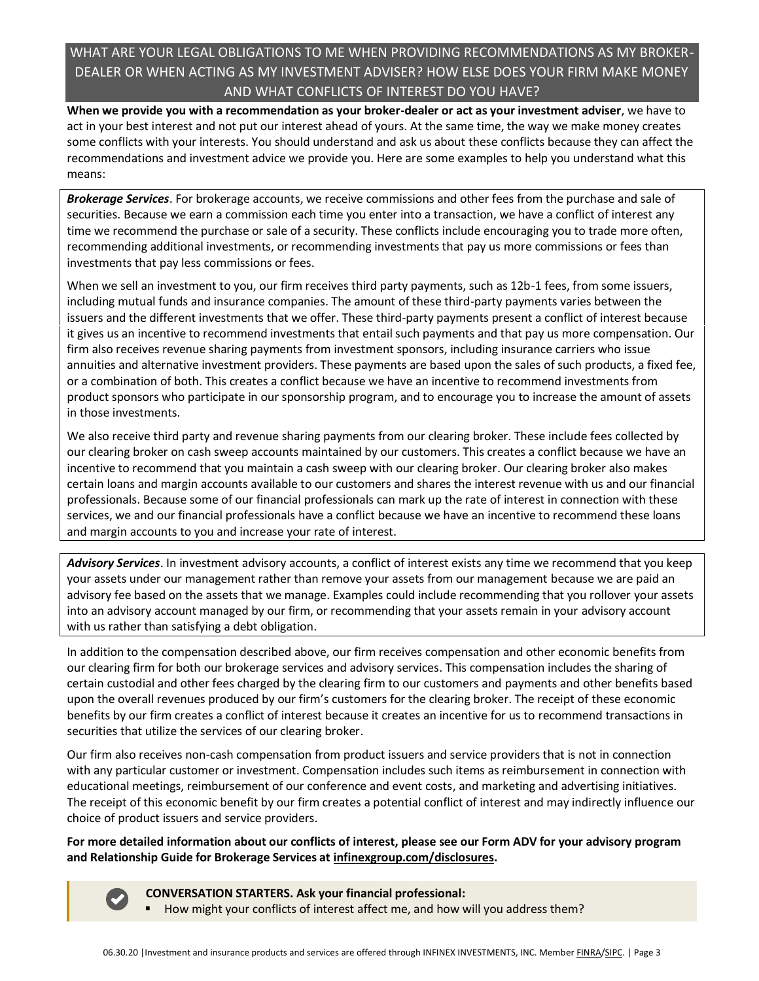## WHAT ARE YOUR LEGAL OBLIGATIONS TO ME WHEN PROVIDING RECOMMENDATIONS AS MY BROKER-DEALER OR WHEN ACTING AS MY INVESTMENT ADVISER? HOW ELSE DOES YOUR FIRM MAKE MONEY AND WHAT CONFLICTS OF INTEREST DO YOU HAVE?

**When we provide you with a recommendation as your broker-dealer or act as your investment adviser**, we have to act in your best interest and not put our interest ahead of yours. At the same time, the way we make money creates some conflicts with your interests. You should understand and ask us about these conflicts because they can affect the recommendations and investment advice we provide you. Here are some examples to help you understand what this means:

*Brokerage Services*. For brokerage accounts, we receive commissions and other fees from the purchase and sale of securities. Because we earn a commission each time you enter into a transaction, we have a conflict of interest any time we recommend the purchase or sale of a security. These conflicts include encouraging you to trade more often, recommending additional investments, or recommending investments that pay us more commissions or fees than investments that pay less commissions or fees.

When we sell an investment to you, our firm receives third party payments, such as 12b-1 fees, from some issuers, including mutual funds and insurance companies. The amount of these third-party payments varies between the issuers and the different investments that we offer. These third-party payments present a conflict of interest because it gives us an incentive to recommend investments that entail such payments and that pay us more compensation. Our firm also receives revenue sharing payments from investment sponsors, including insurance carriers who issue annuities and alternative investment providers. These payments are based upon the sales of such products, a fixed fee, or a combination of both. This creates a conflict because we have an incentive to recommend investments from product sponsors who participate in our sponsorship program, and to encourage you to increase the amount of assets in those investments.

We also receive third party and revenue sharing payments from our clearing broker. These include fees collected by our clearing broker on cash sweep accounts maintained by our customers. This creates a conflict because we have an incentive to recommend that you maintain a cash sweep with our clearing broker. Our clearing broker also makes certain loans and margin accounts available to our customers and shares the interest revenue with us and our financial professionals. Because some of our financial professionals can mark up the rate of interest in connection with these services, we and our financial professionals have a conflict because we have an incentive to recommend these loans and margin accounts to you and increase your rate of interest.

*Advisory Services*. In investment advisory accounts, a conflict of interest exists any time we recommend that you keep your assets under our management rather than remove your assets from our management because we are paid an advisory fee based on the assets that we manage. Examples could include recommending that you rollover your assets into an advisory account managed by our firm, or recommending that your assets remain in your advisory account with us rather than satisfying a debt obligation.

In addition to the compensation described above, our firm receives compensation and other economic benefits from our clearing firm for both our brokerage services and advisory services. This compensation includes the sharing of certain custodial and other fees charged by the clearing firm to our customers and payments and other benefits based upon the overall revenues produced by our firm's customers for the clearing broker. The receipt of these economic benefits by our firm creates a conflict of interest because it creates an incentive for us to recommend transactions in securities that utilize the services of our clearing broker.

Our firm also receives non-cash compensation from product issuers and service providers that is not in connection with any particular customer or investment. Compensation includes such items as reimbursement in connection with educational meetings, reimbursement of our conference and event costs, and marketing and advertising initiatives. The receipt of this economic benefit by our firm creates a potential conflict of interest and may indirectly influence our choice of product issuers and service providers.

**For more detailed information about our conflicts of interest, please see our Form ADV for your advisory program and Relationship Guide for Brokerage Services at [infinexgroup.com/disclosures.](https://www.infinexgroup.com/disclosures)**

**CONVERSATION STARTERS. Ask your financial professional:**

How might your conflicts of interest affect me, and how will you address them?